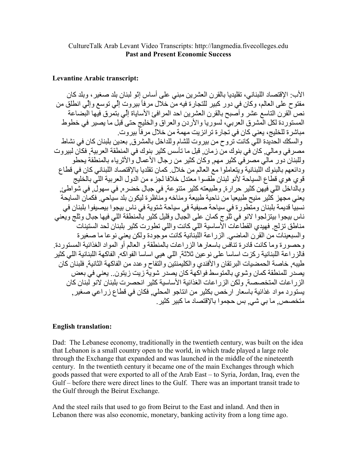## CultureTalk Arab Levant Video Transcripts: http://langmedia.fivecolleges.edu **Past and Present Economic Success**

## **Levantine Arabic transcript:**

الأب: الاقتصاد اللبناني، تقليديا بالقرن العشر بن مبنى على أساس إنَّو لبنان بلد صغير ، وبلد كان مفتوح علي العالم، وكاَّن في دو رٍ كبير للتجار ة فيه من خلال مر فأ بير و ت إلِّي تو سع و إلِّي انطلق من نص القرن التاسع عشر وأصبح بالقرن العشرين احد المرافئ الأساباة إلّي بتمرق فيها البّضاعة المستوردة لكل المشرق العربي، لسوريا والأردن والعراق والخليج حتى قبل ما يصير في خطوط مباشرة للخليج، يعني كان في تجارة ترانزيت مهمة من خلال مر فاً بير و ت والسكك الحديدة اللي كانت تروح من بيروت للشام وللداخل بالمشرق بعدين بلبنان كان في نشاط مصر في ومالي. كان في بنوك من زمان. قبل ما تأسس كثير بنوك في المنطقة العربية. فكان لبيروت وللبنان دور ٍ مالي مصر في كثير ٍ مهم. وكان كثير ٍ من رجال الأعمال والأثر ياء بالمنطقة يحطو ودائعهم بالبنوك اللبنانية ويتعاملوا مع العالم من خلال. كمان تقلديا بالإقتصاد اللبناني كان في قطاع قوى هوَّى فطاع السياحة لأنو لبنان طّفسوا معتدل خلافا لجزء من الدول العربية اللَّي بالخليج وبالَّداخل اللي فيِّهن كثير حرارة, وطبيعته كثير متنوعة, في جبال خضره, في سهول ٍ في شواطئ, يعني مجهز كثير منيح طبيعيا من ناحية طبيعة ومناخه ومناظر ة ليكون بلد سياحي. فكمان السايحة نسبيا قديمة بلبنان ومتطورة في سياحة صيفية في سياحة شتوية في ناس بيجوا بيصيفوا بلبنان في ناس ببجو ا ببنز لجو ا لانو في ثلُّو ج كمان على الجِّبال و قلبل كثير بالمنطقة اللي فبها جبال و ثلج و بعني مناطق تز لج ِ فهيدي القطاعات الأساسية اللي كانت و اللي تطور ت كثير ۖ بلبنان لحد السنينات ُ و السبعبنات من القرِّ ن الماضي الز ر اعة اللبنَّانية كانت موجودة ولكن بعني نو عا ما صغير ة وحصورة وما كانت قادرة تنافس باسعار ها الزراعات بالمنطقة و العالم أوَّ المواد الغذائية المستوردة. فالز راعة اللبنانية ركز ت اساسا على نو عين ثلاثة. اللي هيي اساسا الفواكه. الفاكهة اللبنانية اللي كثير طيبه خاصة الحمضيات البرنقان والأفندي والكليمنتين والتفاح وعدد من الفاكهة الثانية فلبنان كان يصدر للمنطقة كمان وشوى بالمتوسط فواكهة كان يصدر شوية زيت زيتون.. يعني في بعض الزراعات المتخصصة ولكن الزراعات الغذائية الأساسية كثير انحصرت بلبنان لانو لبنان كان يستورد مواد غذائية باسعار ارخص بكثير من انتاجو المحلي فكان في قطاع زراعي صغير ٍ متخصص ما بي شي. بس حجموا بالإقتصاد ما كبير كثير .

## **English translation:**

Dad: The Lebanese economy, traditionally in the twentieth century, was built on the idea that Lebanon is a small country open to the world, in which trade played a large role through the Exchange that expanded and was launched in the middle of the nineteenth century. In the twentieth century it became one of the main Exchanges through which goods passed that were exported to all of the Arab East – to Syria, Jordan, Iraq, even the Gulf – before there were direct lines to the Gulf. There was an important transit trade to the Gulf through the Beirut Exchange.

And the steel rails that used to go from Beirut to the East and inland. And then in Lebanon there was also economic, monetary, banking activity from a long time ago.